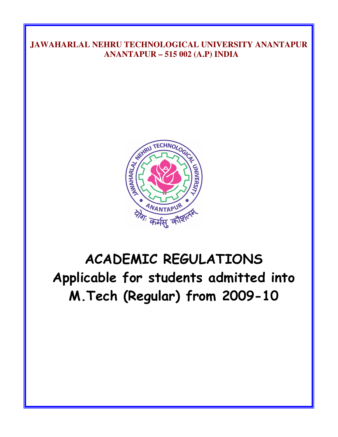# JAWAHARLAL NEHRU TECHNOLOGICAL UNIVERSITY ANANTAPUR ANANTAPUR – 515 002 (A.P) INDIA



# ACADEMIC REGULATIONS Applicable for students admitted into M. Tech (Regular) from 2009-10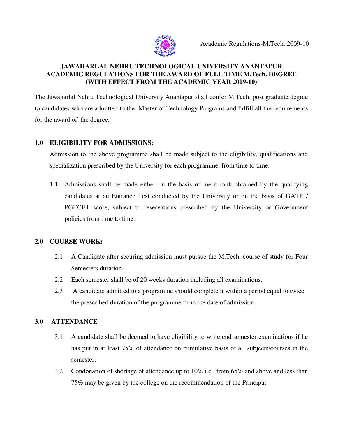

#### JAWAHARLAL NEHRU TECHNOLOGICAL UNIVERSITY ANANTAPUR ACADEMIC REGULATIONS FOR THE AWARD OF FULL TIME M.Tech. DEGREE (WITH EFFECT FROM THE ACADEMIC YEAR 2009-10)

The Jawaharlal Nehru Technological University Anantapur shall confer M.Tech. post graduate degree to candidates who are admitted to the Master of Technology Programs and fulfill all the requirements for the award of the degree.

# 1.0 ELIGIBILITY FOR ADMISSIONS:

Admission to the above programme shall be made subject to the eligibility, qualifications and specialization prescribed by the University for each programme, from time to time.

1.1. Admissions shall be made either on the basis of merit rank obtained by the qualifying candidates at an Entrance Test conducted by the University or on the basis of GATE / PGECET score, subject to reservations prescribed by the University or Government policies from time to time.

### 2.0 COURSE WORK:

- 2.1 A Candidate after securing admission must pursue the M.Tech. course of study for Four Semesters duration.
- 2.2 Each semester shall be of 20 weeks duration including all examinations.
- 2.3 A candidate admitted to a programme should complete it within a period equal to twice the prescribed duration of the programme from the date of admission.

# 3.0 ATTENDANCE

- 3.1 A candidate shall be deemed to have eligibility to write end semester examinations if he has put in at least 75% of attendance on cumulative basis of all subjects/courses in the semester.
- 3.2 Condonation of shortage of attendance up to 10% i.e., from 65% and above and less than 75% may be given by the college on the recommendation of the Principal.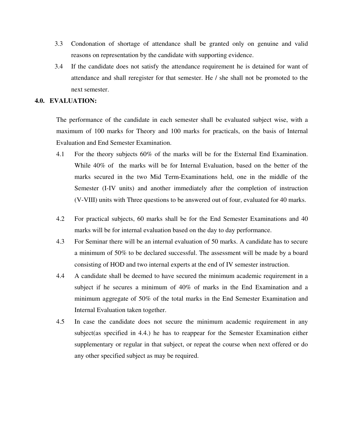- 3.3 Condonation of shortage of attendance shall be granted only on genuine and valid reasons on representation by the candidate with supporting evidence.
- 3.4 If the candidate does not satisfy the attendance requirement he is detained for want of attendance and shall reregister for that semester. He / she shall not be promoted to the next semester.

#### 4.0. EVALUATION:

The performance of the candidate in each semester shall be evaluated subject wise, with a maximum of 100 marks for Theory and 100 marks for practicals, on the basis of Internal Evaluation and End Semester Examination.

- 4.1 For the theory subjects 60% of the marks will be for the External End Examination. While 40% of the marks will be for Internal Evaluation, based on the better of the marks secured in the two Mid Term-Examinations held, one in the middle of the Semester (I-IV units) and another immediately after the completion of instruction (V-VIII) units with Three questions to be answered out of four, evaluated for 40 marks.
- 4.2 For practical subjects, 60 marks shall be for the End Semester Examinations and 40 marks will be for internal evaluation based on the day to day performance.
- 4.3 For Seminar there will be an internal evaluation of 50 marks. A candidate has to secure a minimum of 50% to be declared successful. The assessment will be made by a board consisting of HOD and two internal experts at the end of IV semester instruction.
- 4.4 A candidate shall be deemed to have secured the minimum academic requirement in a subject if he secures a minimum of 40% of marks in the End Examination and a minimum aggregate of 50% of the total marks in the End Semester Examination and Internal Evaluation taken together.
- 4.5 In case the candidate does not secure the minimum academic requirement in any subject(as specified in 4.4.) he has to reappear for the Semester Examination either supplementary or regular in that subject, or repeat the course when next offered or do any other specified subject as may be required.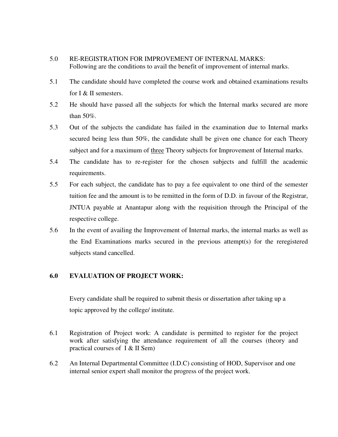#### 5.0 RE-REGISTRATION FOR IMPROVEMENT OF INTERNAL MARKS: Following are the conditions to avail the benefit of improvement of internal marks.

- 5.1 The candidate should have completed the course work and obtained examinations results for I & II semesters.
- 5.2 He should have passed all the subjects for which the Internal marks secured are more than 50%.
- 5.3 Out of the subjects the candidate has failed in the examination due to Internal marks secured being less than 50%, the candidate shall be given one chance for each Theory subject and for a maximum of three Theory subjects for Improvement of Internal marks.
- 5.4 The candidate has to re-register for the chosen subjects and fulfill the academic requirements.
- 5.5 For each subject, the candidate has to pay a fee equivalent to one third of the semester tuition fee and the amount is to be remitted in the form of D.D. in favour of the Registrar, JNTUA payable at Anantapur along with the requisition through the Principal of the respective college.
- 5.6 In the event of availing the Improvement of Internal marks, the internal marks as well as the End Examinations marks secured in the previous attempt(s) for the reregistered subjects stand cancelled.

#### 6.0 EVALUATION OF PROJECT WORK:

 Every candidate shall be required to submit thesis or dissertation after taking up a topic approved by the college/ institute.

- 6.1 Registration of Project work: A candidate is permitted to register for the project work after satisfying the attendance requirement of all the courses (theory and practical courses of I & II Sem)
- 6.2 An Internal Departmental Committee (I.D.C) consisting of HOD, Supervisor and one internal senior expert shall monitor the progress of the project work.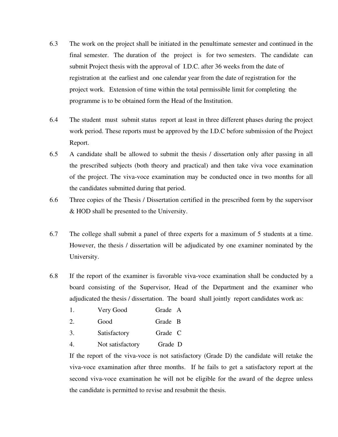- 6.3 The work on the project shall be initiated in the penultimate semester and continued in the final semester. The duration of the project is for two semesters. The candidate can submit Project thesis with the approval of I.D.C. after 36 weeks from the date of registration at the earliest and one calendar year from the date of registration for the project work. Extension of time within the total permissible limit for completing the programme is to be obtained form the Head of the Institution.
- 6.4 The student must submit status report at least in three different phases during the project work period. These reports must be approved by the I.D.C before submission of the Project Report.
- 6.5 A candidate shall be allowed to submit the thesis / dissertation only after passing in all the prescribed subjects (both theory and practical) and then take viva voce examination of the project. The viva-voce examination may be conducted once in two months for all the candidates submitted during that period.
- 6.6 Three copies of the Thesis / Dissertation certified in the prescribed form by the supervisor & HOD shall be presented to the University.
- 6.7 The college shall submit a panel of three experts for a maximum of 5 students at a time. However, the thesis / dissertation will be adjudicated by one examiner nominated by the University.
- 6.8 If the report of the examiner is favorable viva-voce examination shall be conducted by a board consisting of the Supervisor, Head of the Department and the examiner who adjudicated the thesis / dissertation. The board shall jointly report candidates work as:
	- 1. Very Good Grade A
	- 2. Good Grade B
	- 3. Satisfactory Grade C
	- 4. Not satisfactory Grade D

If the report of the viva-voce is not satisfactory (Grade D) the candidate will retake the viva-voce examination after three months. If he fails to get a satisfactory report at the second viva-voce examination he will not be eligible for the award of the degree unless the candidate is permitted to revise and resubmit the thesis.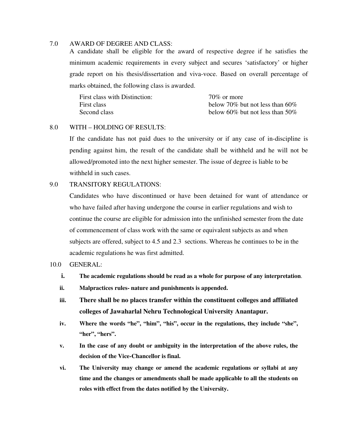#### 7.0 AWARD OF DEGREE AND CLASS:

A candidate shall be eligible for the award of respective degree if he satisfies the minimum academic requirements in every subject and secures 'satisfactory' or higher grade report on his thesis/dissertation and viva-voce. Based on overall percentage of marks obtained, the following class is awarded.

| First class with Distinction: | $70\%$ or more                  |
|-------------------------------|---------------------------------|
| First class                   | below 70% but not less than 60% |
| Second class                  | below 60% but not less than 50% |

#### 8.0 WITH – HOLDING OF RESULTS:

 If the candidate has not paid dues to the university or if any case of in-discipline is pending against him, the result of the candidate shall be withheld and he will not be allowed/promoted into the next higher semester. The issue of degree is liable to be withheld in such cases.

#### 9.0 TRANSITORY REGULATIONS:

 Candidates who have discontinued or have been detained for want of attendance or who have failed after having undergone the course in earlier regulations and wish to continue the course are eligible for admission into the unfinished semester from the date of commencement of class work with the same or equivalent subjects as and when subjects are offered, subject to 4.5 and 2.3 sections. Whereas he continues to be in the academic regulations he was first admitted.

#### 10.0 GENERAL:

- i. The academic regulations should be read as a whole for purpose of any interpretation.
- ii. Malpractices rules- nature and punishments is appended.
- iii. There shall be no places transfer within the constituent colleges and affiliated colleges of Jawaharlal Nehru Technological University Anantapur.
- iv. Where the words "he", "him", "his", occur in the regulations, they include "she", "her", "hers".
- v. In the case of any doubt or ambiguity in the interpretation of the above rules, the decision of the Vice-Chancellor is final.
- vi. The University may change or amend the academic regulations or syllabi at any time and the changes or amendments shall be made applicable to all the students on roles with effect from the dates notified by the University.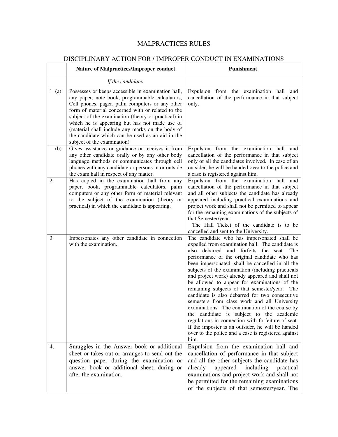# MALPRACTICES RULES

|        | DISCIPLINAR I ACTION FOR / IMPROPER CONDUCT IN EXAMINATIONS<br><b>Nature of Malpractices/Improper conduct</b>                                                                                                                                                                                                                                                                                                                                                | Punishment                                                                                                                                                                                                                                                                                                                                                                                                                                                                                                                                                                                                                                                                                                                                                                                                                                           |
|--------|--------------------------------------------------------------------------------------------------------------------------------------------------------------------------------------------------------------------------------------------------------------------------------------------------------------------------------------------------------------------------------------------------------------------------------------------------------------|------------------------------------------------------------------------------------------------------------------------------------------------------------------------------------------------------------------------------------------------------------------------------------------------------------------------------------------------------------------------------------------------------------------------------------------------------------------------------------------------------------------------------------------------------------------------------------------------------------------------------------------------------------------------------------------------------------------------------------------------------------------------------------------------------------------------------------------------------|
|        | If the candidate:                                                                                                                                                                                                                                                                                                                                                                                                                                            |                                                                                                                                                                                                                                                                                                                                                                                                                                                                                                                                                                                                                                                                                                                                                                                                                                                      |
| 1. (a) | Possesses or keeps accessible in examination hall,<br>any paper, note book, programmable calculators,<br>Cell phones, pager, palm computers or any other<br>form of material concerned with or related to the<br>subject of the examination (theory or practical) in<br>which he is appearing but has not made use of<br>(material shall include any marks on the body of<br>the candidate which can be used as an aid in the<br>subject of the examination) | Expulsion from the examination hall and<br>cancellation of the performance in that subject<br>only.                                                                                                                                                                                                                                                                                                                                                                                                                                                                                                                                                                                                                                                                                                                                                  |
| (b)    | Gives assistance or guidance or receives it from<br>any other candidate orally or by any other body<br>language methods or communicates through cell<br>phones with any candidate or persons in or outside<br>the exam hall in respect of any matter.                                                                                                                                                                                                        | Expulsion from the examination hall<br>and<br>cancellation of the performance in that subject<br>only of all the candidates involved. In case of an<br>outsider, he will be handed over to the police and<br>a case is registered against him.                                                                                                                                                                                                                                                                                                                                                                                                                                                                                                                                                                                                       |
| 2.     | Has copied in the examination hall from any<br>paper, book, programmable calculators, palm<br>computers or any other form of material relevant<br>to the subject of the examination (theory or<br>practical) in which the candidate is appearing.                                                                                                                                                                                                            | Expulsion from the examination hall and<br>cancellation of the performance in that subject<br>and all other subjects the candidate has already<br>appeared including practical examinations and<br>project work and shall not be permitted to appear<br>for the remaining examinations of the subjects of<br>that Semester/year.<br>The Hall Ticket of the candidate is to be<br>cancelled and sent to the University.                                                                                                                                                                                                                                                                                                                                                                                                                               |
| 3.     | Impersonates any other candidate in connection<br>with the examination.                                                                                                                                                                                                                                                                                                                                                                                      | The candidate who has impersonated shall be<br>expelled from examination hall. The candidate is<br>and forfeits the seat.<br>debarred<br>also<br>The<br>performance of the original candidate who has<br>been impersonated, shall be cancelled in all the<br>subjects of the examination (including practicals<br>and project work) already appeared and shall not<br>be allowed to appear for examinations of the<br>remaining subjects of that semester/year.<br>The<br>candidate is also debarred for two consecutive<br>semesters from class work and all University<br>examinations. The continuation of the course by<br>candidate is subject to the academic<br>the<br>regulations in connection with forfeiture of seat.<br>If the imposter is an outsider, he will be handed<br>over to the police and a case is registered against<br>him. |
| 4.     | Smuggles in the Answer book or additional<br>sheet or takes out or arranges to send out the<br>question paper during the examination or<br>answer book or additional sheet, during or<br>after the examination.                                                                                                                                                                                                                                              | Expulsion from the examination hall and<br>cancellation of performance in that subject<br>and all the other subjects the candidate has<br>including<br>already<br>appeared<br>practical<br>examinations and project work and shall not<br>be permitted for the remaining examinations<br>of the subjects of that semester/year. The                                                                                                                                                                                                                                                                                                                                                                                                                                                                                                                  |

# DISCIPLINARY ACTION FOR / IMPROPER CONDUCT IN EXAMINATIONS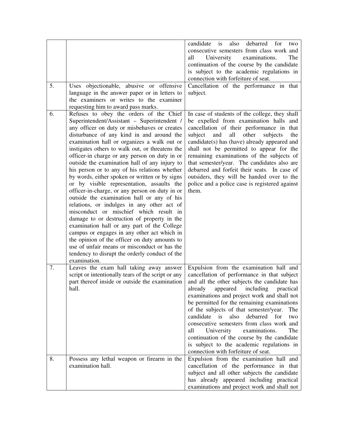| 5. | objectionable, abusive or offensive<br>Uses<br>language in the answer paper or in letters to                                                                                                                                                                                                                                                                                                                                                                                                                                                                                                                                                                                                                                                                                                                                                                                                                                                                                                                                                     | candidate is<br>also<br>debarred<br>for<br>two<br>consecutive semesters from class work and<br>University<br>all<br>examinations.<br>The<br>continuation of the course by the candidate<br>is subject to the academic regulations in<br>connection with forfeiture of seat.<br>Cancellation of the performance in that<br>subject.                                                                                                                                                                                                                                                                                    |
|----|--------------------------------------------------------------------------------------------------------------------------------------------------------------------------------------------------------------------------------------------------------------------------------------------------------------------------------------------------------------------------------------------------------------------------------------------------------------------------------------------------------------------------------------------------------------------------------------------------------------------------------------------------------------------------------------------------------------------------------------------------------------------------------------------------------------------------------------------------------------------------------------------------------------------------------------------------------------------------------------------------------------------------------------------------|-----------------------------------------------------------------------------------------------------------------------------------------------------------------------------------------------------------------------------------------------------------------------------------------------------------------------------------------------------------------------------------------------------------------------------------------------------------------------------------------------------------------------------------------------------------------------------------------------------------------------|
|    | the examiners or writes to the examiner<br>requesting him to award pass marks.                                                                                                                                                                                                                                                                                                                                                                                                                                                                                                                                                                                                                                                                                                                                                                                                                                                                                                                                                                   |                                                                                                                                                                                                                                                                                                                                                                                                                                                                                                                                                                                                                       |
| 6. | Refuses to obey the orders of the Chief<br>Superintendent/Assistant - Superintendent /<br>any officer on duty or misbehaves or creates<br>disturbance of any kind in and around the<br>examination hall or organizes a walk out or<br>instigates others to walk out, or threatens the<br>officer-in charge or any person on duty in or<br>outside the examination hall of any injury to<br>his person or to any of his relations whether<br>by words, either spoken or written or by signs<br>or by visible representation, assaults the<br>officer-in-charge, or any person on duty in or<br>outside the examination hall or any of his<br>relations, or indulges in any other act of<br>misconduct or mischief which result in<br>damage to or destruction of property in the<br>examination hall or any part of the College<br>campus or engages in any other act which in<br>the opinion of the officer on duty amounts to<br>use of unfair means or misconduct or has the<br>tendency to disrupt the orderly conduct of the<br>examination. | In case of students of the college, they shall<br>be expelled from examination halls and<br>cancellation of their performance in that<br>and<br>all<br>other<br>subject<br>subjects<br>the<br>candidate(s) has (have) already appeared and<br>shall not be permitted to appear for the<br>remaining examinations of the subjects of<br>that semester/year. The candidates also are<br>debarred and forfeit their seats. In case of<br>outsiders, they will be handed over to the<br>police and a police case is registered against<br>them.                                                                           |
| 7. | Leaves the exam hall taking away answer<br>script or intentionally tears of the script or any<br>part thereof inside or outside the examination<br>hall.                                                                                                                                                                                                                                                                                                                                                                                                                                                                                                                                                                                                                                                                                                                                                                                                                                                                                         | Expulsion from the examination hall and<br>cancellation of performance in that subject<br>and all the other subjects the candidate has<br>including<br>already<br>appeared<br>practical<br>examinations and project work and shall not<br>be permitted for the remaining examinations<br>of the subjects of that semester/year.<br>The<br>candidate<br>is<br>also debarred<br>for<br>two<br>consecutive semesters from class work and<br>University<br>examinations.<br>all<br>The<br>continuation of the course by the candidate<br>is subject to the academic regulations in<br>connection with forfeiture of seat. |
| 8. | Possess any lethal weapon or firearm in the<br>examination hall.                                                                                                                                                                                                                                                                                                                                                                                                                                                                                                                                                                                                                                                                                                                                                                                                                                                                                                                                                                                 | Expulsion from the examination hall and<br>cancellation of the performance in that<br>subject and all other subjects the candidate<br>has already appeared including practical<br>examinations and project work and shall not                                                                                                                                                                                                                                                                                                                                                                                         |